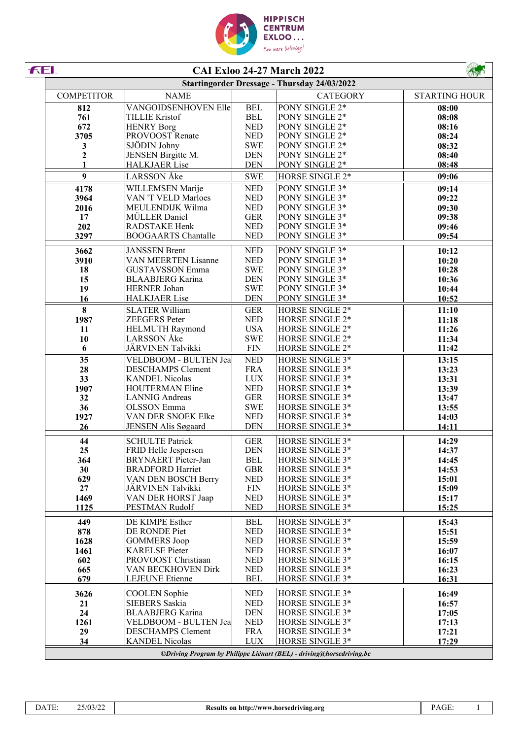

| FEI.              |                                                 |                           | <b>CAI Exloo 24-27 March 2022</b>                                    |                      |
|-------------------|-------------------------------------------------|---------------------------|----------------------------------------------------------------------|----------------------|
|                   |                                                 |                           | <b>Startingorder Dressage - Thursday 24/03/2022</b>                  |                      |
| <b>COMPETITOR</b> | <b>NAME</b>                                     |                           | <b>CATEGORY</b>                                                      | <b>STARTING HOUR</b> |
| 812               | VANGOIDSENHOVEN Elle                            | <b>BEL</b>                | PONY SINGLE 2*                                                       | 08:00                |
| 761               | <b>TILLIE Kristof</b>                           | <b>BEL</b>                | PONY SINGLE 2*                                                       | 08:08                |
| 672               | <b>HENRY Borg</b>                               | <b>NED</b>                | PONY SINGLE 2*                                                       | 08:16                |
| 3705              | PROVOOST Renate                                 | <b>NED</b>                | PONY SINGLE 2*                                                       | 08:24                |
| 3                 | SJÖDIN Johny                                    | <b>SWE</b>                | PONY SINGLE 2*                                                       | 08:32                |
| $\boldsymbol{2}$  | JENSEN Birgitte M.                              | <b>DEN</b>                | PONY SINGLE 2*                                                       | 08:40                |
|                   | <b>HALKJAER Lise</b>                            | <b>DEN</b>                | PONY SINGLE 2*                                                       | 08:48                |
| 9                 | <b>LARSSON</b> Åke                              | <b>SWE</b>                | HORSE SINGLE 2*                                                      | 09:06                |
| 4178              | WILLEMSEN Marije                                | <b>NED</b>                | PONY SINGLE 3*                                                       | 09:14                |
| 3964              | VAN 'T VELD Marloes                             | <b>NED</b>                | PONY SINGLE 3*                                                       | 09:22                |
| 2016              | MEULENDIJK Wilma<br>MÜLLER Daniel               | <b>NED</b><br><b>GER</b>  | PONY SINGLE 3*<br>PONY SINGLE 3*                                     | 09:30                |
| 17                | RADSTAKE Henk                                   | <b>NED</b>                | PONY SINGLE 3*                                                       | 09:38                |
| 202<br>3297       | <b>BOOGAARTS Chantalle</b>                      | <b>NED</b>                | PONY SINGLE 3*                                                       | 09:46<br>09:54       |
|                   |                                                 |                           |                                                                      |                      |
| 3662              | <b>JANSSEN Brent</b>                            | <b>NED</b>                | PONY SINGLE 3*                                                       | 10:12                |
| 3910              | VAN MEERTEN Lisanne                             | <b>NED</b>                | PONY SINGLE 3*                                                       | 10:20                |
| 18                | <b>GUSTAVSSON</b> Emma                          | <b>SWE</b>                | PONY SINGLE 3*                                                       | 10:28                |
| 15                | <b>BLAABJERG</b> Karina                         | <b>DEN</b>                | PONY SINGLE 3*                                                       | 10:36                |
| 19<br>16          | HERNER Johan<br><b>HALKJAER</b> Lise            | <b>SWE</b><br><b>DEN</b>  | PONY SINGLE 3*<br>PONY SINGLE 3*                                     | 10:44<br>10:52       |
|                   |                                                 |                           |                                                                      |                      |
| 8                 | <b>SLATER William</b>                           | <b>GER</b>                | HORSE SINGLE 2*                                                      | 11:10                |
| 1987              | <b>ZEEGERS</b> Peter                            | <b>NED</b>                | HORSE SINGLE 2*                                                      | 11:18                |
| 11                | <b>HELMUTH Raymond</b>                          | <b>USA</b>                | HORSE SINGLE 2*                                                      | 11:26                |
| 10                | LARSSON Åke                                     | <b>SWE</b><br>${\rm FIN}$ | HORSE SINGLE 2*                                                      | 11:34                |
| 6                 | JÄRVINEN Talvikki                               |                           | HORSE SINGLE 2*                                                      | 11:42                |
| 35                | VELDBOOM - BULTEN Jea                           | <b>NED</b>                | HORSE SINGLE 3*                                                      | 13:15                |
| 28                | <b>DESCHAMPS Clement</b>                        | <b>FRA</b>                | HORSE SINGLE 3*                                                      | 13:23                |
| 33<br>1907        | <b>KANDEL Nicolas</b><br><b>HOUTERMAN Eline</b> | <b>LUX</b><br><b>NED</b>  | HORSE SINGLE 3*<br>HORSE SINGLE 3*                                   | 13:31                |
| 32                | <b>LANNIG</b> Andreas                           | <b>GER</b>                | HORSE SINGLE 3*                                                      | 13:39                |
| 36                | <b>OLSSON</b> Emma                              | <b>SWE</b>                | HORSE SINGLE 3*                                                      | 13:47<br>13:55       |
| 1927              | VAN DER SNOEK Elke                              | <b>NED</b>                | HORSE SINGLE 3*                                                      | 14:03                |
| 26                | <b>JENSEN Alis Søgaard</b>                      | <b>DEN</b>                | HORSE SINGLE 3*                                                      | 14:11                |
|                   |                                                 |                           |                                                                      |                      |
| 44                | <b>SCHULTE Patrick</b>                          | <b>GER</b>                | HORSE SINGLE 3*                                                      | 14:29                |
| 25                | FRID Helle Jespersen                            | <b>DEN</b>                | HORSE SINGLE 3*                                                      | 14:37                |
| 364               | <b>BRYNAERT</b> Pieter-Jan                      | <b>BEL</b>                | HORSE SINGLE 3*                                                      | 14:45                |
| 30                | <b>BRADFORD Harriet</b>                         | <b>GBR</b>                | HORSE SINGLE 3*                                                      | 14:53                |
| 629               | VAN DEN BOSCH Berry                             | <b>NED</b>                | HORSE SINGLE 3*                                                      | 15:01                |
| 27                | JÄRVINEN Talvikki                               | ${\rm FIN}$               | HORSE SINGLE 3*                                                      | 15:09                |
| 1469<br>1125      | VAN DER HORST Jaap<br>PESTMAN Rudolf            | <b>NED</b><br><b>NED</b>  | HORSE SINGLE 3*<br>HORSE SINGLE 3*                                   | 15:17                |
|                   |                                                 |                           |                                                                      | 15:25                |
| 449               | DE KIMPE Esther                                 | <b>BEL</b>                | HORSE SINGLE 3*                                                      | 15:43                |
| 878               | DE RONDE Piet                                   | <b>NED</b>                | HORSE SINGLE 3*                                                      | 15:51                |
| 1628              | <b>GOMMERS</b> Joop                             | <b>NED</b>                | HORSE SINGLE 3*                                                      | 15:59                |
| 1461              | <b>KARELSE</b> Pieter                           | <b>NED</b>                | HORSE SINGLE 3*                                                      | 16:07                |
| 602               | PROVOOST Christiaan                             | <b>NED</b>                | HORSE SINGLE 3*                                                      | 16:15                |
| 665               | VAN BECKHOVEN Dirk                              | <b>NED</b>                | HORSE SINGLE 3*                                                      | 16:23                |
| 679               | <b>LEJEUNE</b> Etienne                          | <b>BEL</b>                | HORSE SINGLE 3*                                                      | 16:31                |
| 3626              | <b>COOLEN</b> Sophie                            | <b>NED</b>                | HORSE SINGLE 3*                                                      | 16:49                |
| 21                | SIEBERS Saskia                                  | <b>NED</b>                | HORSE SINGLE 3*                                                      | 16:57                |
| 24                | <b>BLAABJERG</b> Karina                         | <b>DEN</b>                | HORSE SINGLE 3*                                                      | 17:05                |
| 1261              | VELDBOOM - BULTEN Jea                           | <b>NED</b>                | HORSE SINGLE 3*                                                      | 17:13                |
| 29                | <b>DESCHAMPS Clement</b>                        | <b>FRA</b>                | HORSE SINGLE 3*                                                      | 17:21                |
| 34                | <b>KANDEL Nicolas</b>                           | <b>LUX</b>                | HORSE SINGLE 3*                                                      | 17:29                |
|                   |                                                 |                           | ©Driving Program by Philippe Liénart (BEL) - driving@horsedriving.be |                      |